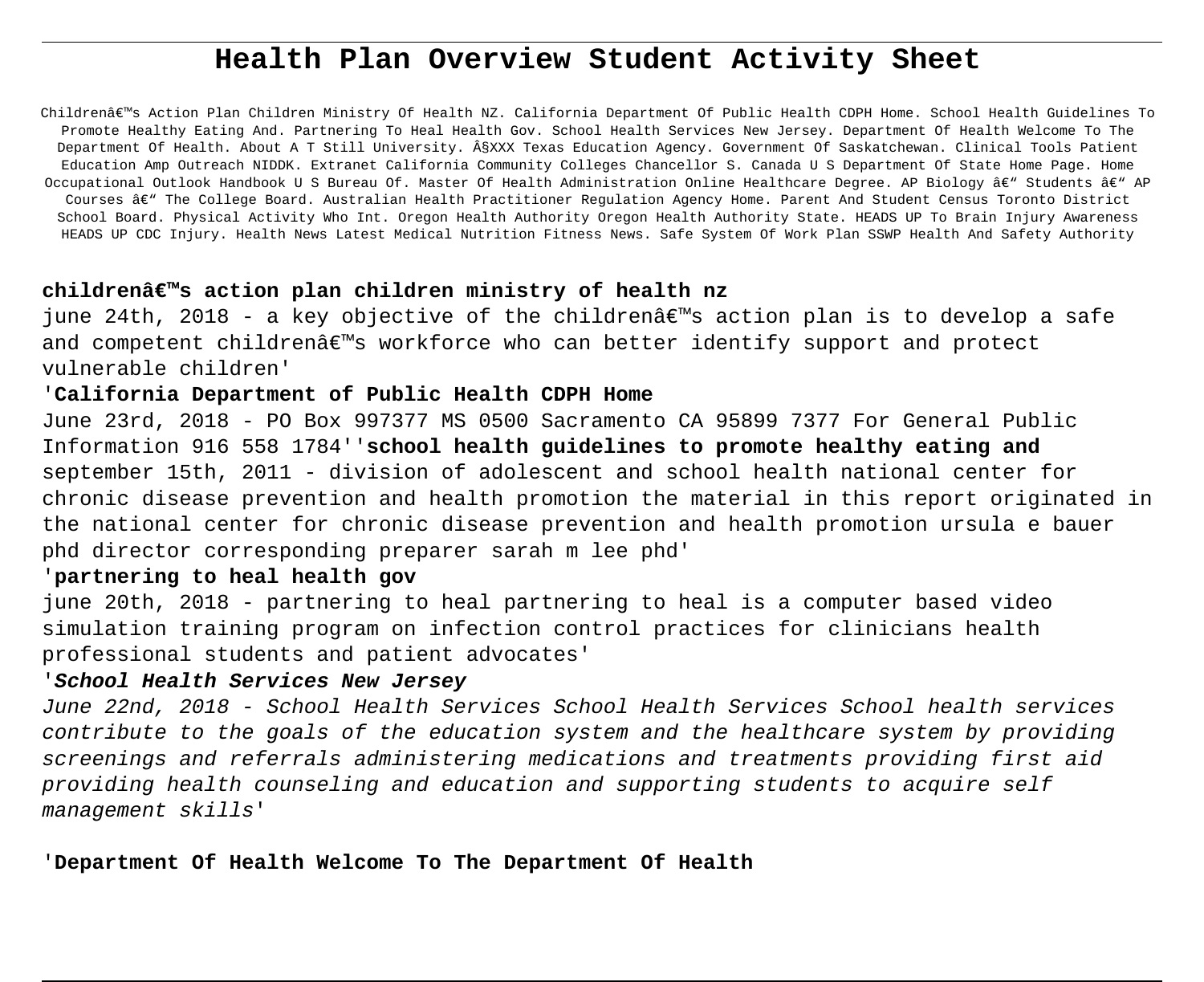# **Health Plan Overview Student Activity Sheet**

Children's Action Plan Children Ministry Of Health NZ. California Department Of Public Health CDPH Home. School Health Guidelines To Promote Healthy Eating And. Partnering To Heal Health Gov. School Health Services New Jersey. Department Of Health Welcome To The Department Of Health. About A T Still University. §XXX Texas Education Agency. Government Of Saskatchewan. Clinical Tools Patient Education Amp Outreach NIDDK. Extranet California Community Colleges Chancellor S. Canada U S Department Of State Home Page. Home Occupational Outlook Handbook U S Bureau Of. Master Of Health Administration Online Healthcare Degree. AP Biology â $\epsilon^*$  Students â $\epsilon^*$  AP Courses â€" The College Board. Australian Health Practitioner Regulation Agency Home. Parent And Student Census Toronto District School Board. Physical Activity Who Int. Oregon Health Authority Oregon Health Authority State. HEADS UP To Brain Injury Awareness HEADS UP CDC Injury. Health News Latest Medical Nutrition Fitness News. Safe System Of Work Plan SSWP Health And Safety Authority

# **children's action plan children ministry of health nz**

june 24th, 2018 - a key objective of the children $\hat{a} \in \mathbb{N}$ s action plan is to develop a safe and competent childrenâ€<sup>™</sup>s workforce who can better identify support and protect vulnerable children'

### '**California Department of Public Health CDPH Home**

June 23rd, 2018 - PO Box 997377 MS 0500 Sacramento CA 95899 7377 For General Public Information 916 558 1784''**school health guidelines to promote healthy eating and** september 15th, 2011 - division of adolescent and school health national center for chronic disease prevention and health promotion the material in this report originated in the national center for chronic disease prevention and health promotion ursula e bauer phd director corresponding preparer sarah m lee phd'

### '**partnering to heal health gov**

june 20th, 2018 - partnering to heal partnering to heal is a computer based video simulation training program on infection control practices for clinicians health professional students and patient advocates'

# '**School Health Services New Jersey**

June 22nd, 2018 - School Health Services School Health Services School health services contribute to the goals of the education system and the healthcare system by providing screenings and referrals administering medications and treatments providing first aid providing health counseling and education and supporting students to acquire self management skills'

'**Department Of Health Welcome To The Department Of Health**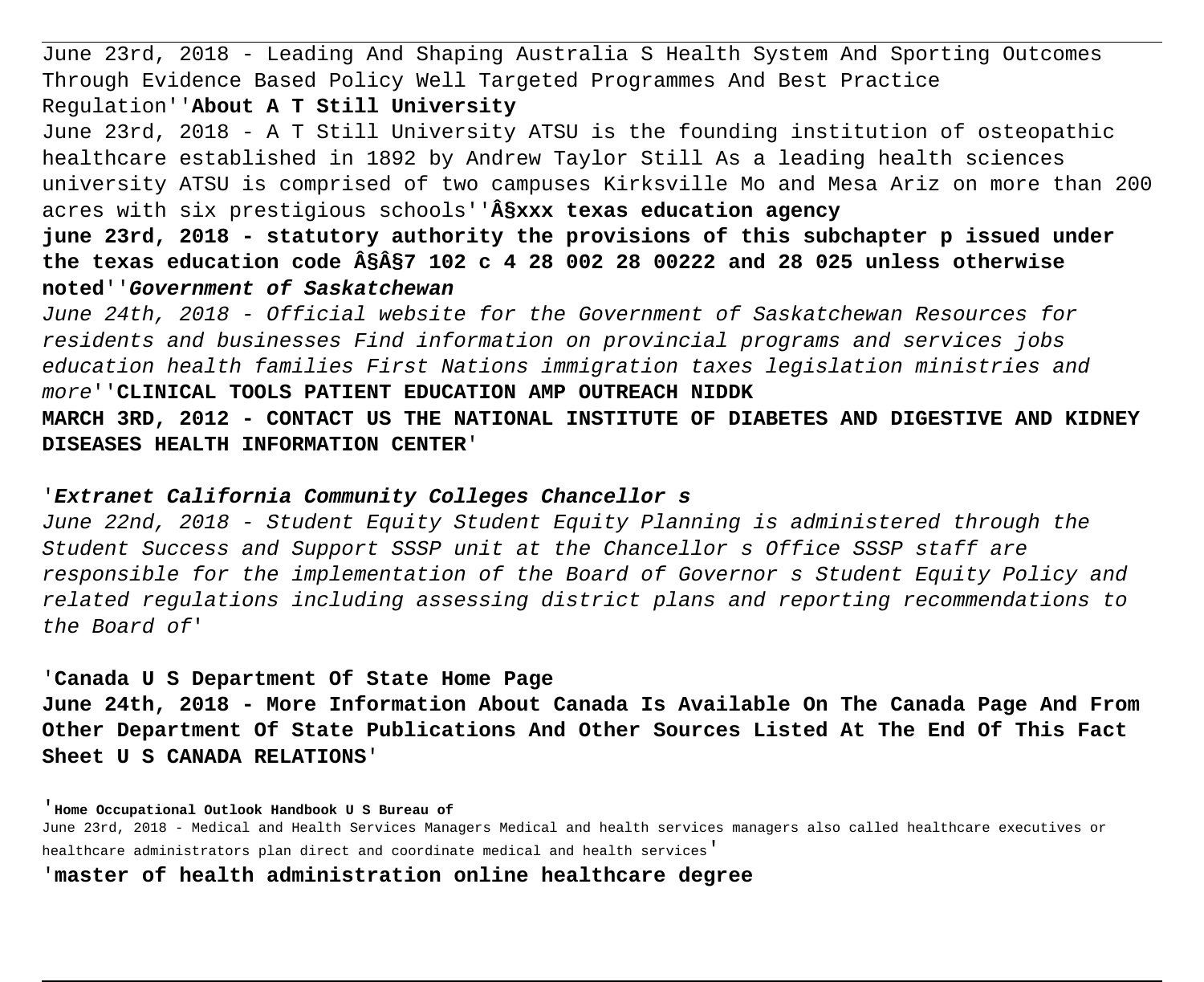June 23rd, 2018 - Leading And Shaping Australia S Health System And Sporting Outcomes Through Evidence Based Policy Well Targeted Programmes And Best Practice Regulation''**About A T Still University**

June 23rd, 2018 - A T Still University ATSU is the founding institution of osteopathic healthcare established in 1892 by Andrew Taylor Still As a leading health sciences university ATSU is comprised of two campuses Kirksville Mo and Mesa Ariz on more than 200 acres with six prestigious schools''**§xxx texas education agency**

**june 23rd, 2018 - statutory authority the provisions of this subchapter p issued under the texas education code §§7 102 c 4 28 002 28 00222 and 28 025 unless otherwise noted**''**Government of Saskatchewan**

June 24th, 2018 - Official website for the Government of Saskatchewan Resources for residents and businesses Find information on provincial programs and services jobs education health families First Nations immigration taxes legislation ministries and more''**CLINICAL TOOLS PATIENT EDUCATION AMP OUTREACH NIDDK**

**MARCH 3RD, 2012 - CONTACT US THE NATIONAL INSTITUTE OF DIABETES AND DIGESTIVE AND KIDNEY DISEASES HEALTH INFORMATION CENTER**'

# '**Extranet California Community Colleges Chancellor s**

June 22nd, 2018 - Student Equity Student Equity Planning is administered through the Student Success and Support SSSP unit at the Chancellor s Office SSSP staff are responsible for the implementation of the Board of Governor s Student Equity Policy and related regulations including assessing district plans and reporting recommendations to the Board of'

# '**Canada U S Department Of State Home Page**

**June 24th, 2018 - More Information About Canada Is Available On The Canada Page And From Other Department Of State Publications And Other Sources Listed At The End Of This Fact Sheet U S CANADA RELATIONS**'

#### '**Home Occupational Outlook Handbook U S Bureau of**

June 23rd, 2018 - Medical and Health Services Managers Medical and health services managers also called healthcare executives or healthcare administrators plan direct and coordinate medical and health services'

### '**master of health administration online healthcare degree**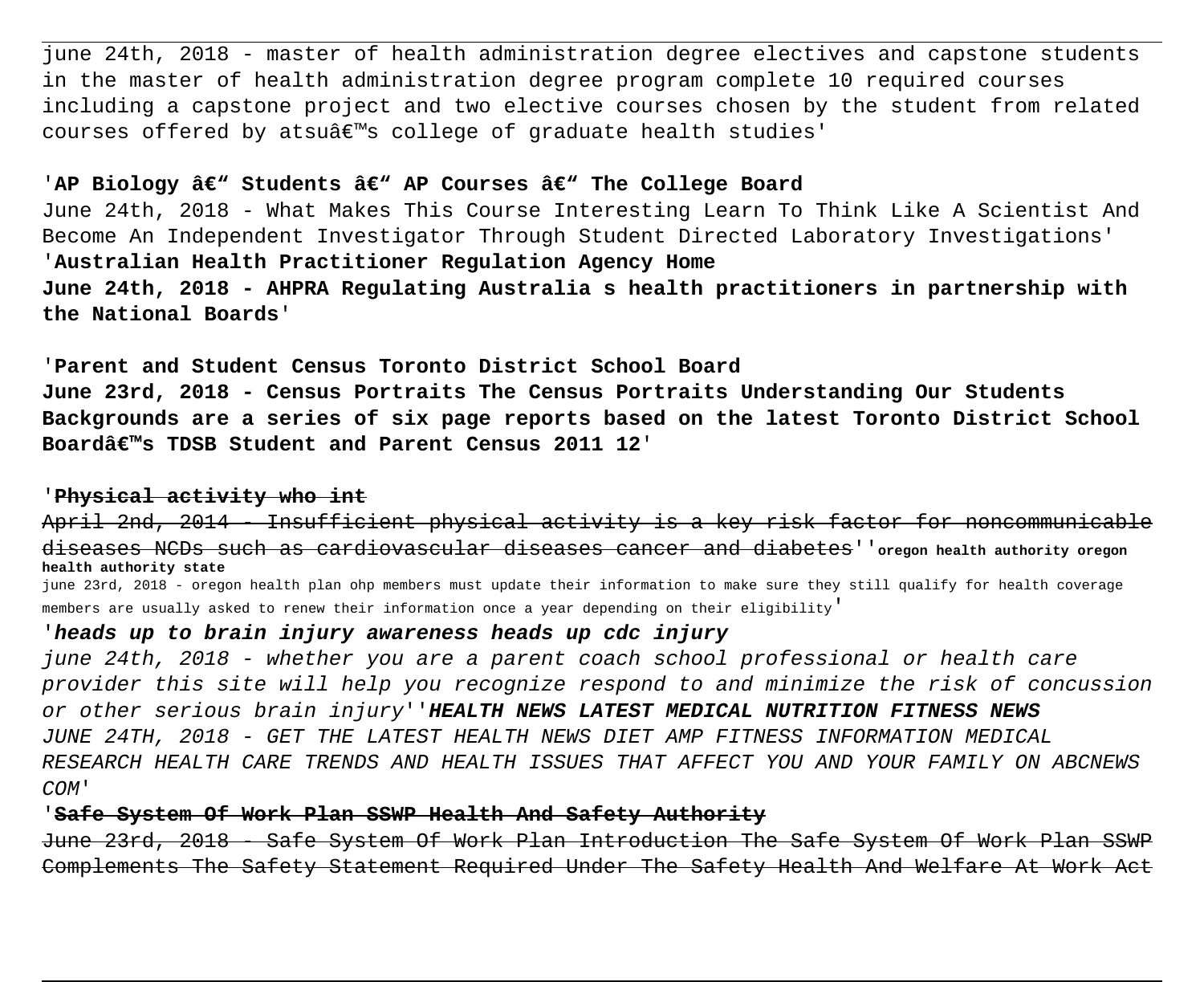june 24th, 2018 - master of health administration degree electives and capstone students in the master of health administration degree program complete 10 required courses including a capstone project and two elective courses chosen by the student from related courses offered by atsu's college of graduate health studies'

### 'AP Biology â€<sup>w</sup> Students â€<sup>w</sup> AP Courses â€<sup>w</sup> The College Board

June 24th, 2018 - What Makes This Course Interesting Learn To Think Like A Scientist And Become An Independent Investigator Through Student Directed Laboratory Investigations' '**Australian Health Practitioner Regulation Agency Home**

**June 24th, 2018 - AHPRA Regulating Australia s health practitioners in partnership with the National Boards**'

'**Parent and Student Census Toronto District School Board June 23rd, 2018 - Census Portraits The Census Portraits Understanding Our Students Backgrounds are a series of six page reports based on the latest Toronto District School Board's TDSB Student and Parent Census 2011 12**'

### '**Physical activity who int**

April 2nd, 2014 - Insufficient physical activity is a key risk factor for noncommunicable diseases NCDs such as cardiovascular diseases cancer and diabetes''**oregon health authority oregon health authority state**

june 23rd, 2018 - oregon health plan ohp members must update their information to make sure they still qualify for health coverage members are usually asked to renew their information once a year depending on their eligibility'

### '**heads up to brain injury awareness heads up cdc injury**

june 24th, 2018 - whether you are a parent coach school professional or health care provider this site will help you recognize respond to and minimize the risk of concussion or other serious brain injury''**HEALTH NEWS LATEST MEDICAL NUTRITION FITNESS NEWS** JUNE 24TH, 2018 - GET THE LATEST HEALTH NEWS DIET AMP FITNESS INFORMATION MEDICAL RESEARCH HEALTH CARE TRENDS AND HEALTH ISSUES THAT AFFECT YOU AND YOUR FAMILY ON ABCNEWS COM'

### '**Safe System Of Work Plan SSWP Health And Safety Authority**

June 23rd, 2018 - Safe System Of Work Plan Introduction The Safe System Of Work Plan SSWP Complements The Safety Statement Required Under The Safety Health And Welfare At Work Act